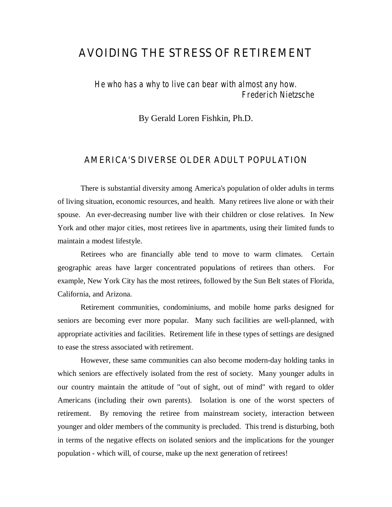# **AVOIDING THE STRESS OF RETIREMENT**

*He who has a why to live can bear with almost any how. Frederich Nietzsche*

By Gerald Loren Fishkin, Ph.D.

# **AMERICA'S DIVERSE OLDER ADULT POPULATION**

 There is substantial diversity among America's population of older adults in terms of living situation, economic resources, and health. Many retirees live alone or with their spouse. An ever-decreasing number live with their children or close relatives. In New York and other major cities, most retirees live in apartments, using their limited funds to maintain a modest lifestyle.

 Retirees who are financially able tend to move to warm climates. Certain geographic areas have larger concentrated populations of retirees than others. For example, New York City has the most retirees, followed by the Sun Belt states of Florida, California, and Arizona.

 Retirement communities, condominiums, and mobile home parks designed for seniors are becoming ever more popular. Many such facilities are well-planned, with appropriate activities and facilities. Retirement life in these types of settings are designed to ease the stress associated with retirement.

 However, these same communities can also become modern-day holding tanks in which seniors are effectively isolated from the rest of society. Many younger adults in our country maintain the attitude of "out of sight, out of mind" with regard to older Americans (including their own parents). Isolation is one of the worst specters of retirement. By removing the retiree from mainstream society, interaction between younger and older members of the community is precluded. This trend is disturbing, both in terms of the negative effects on isolated seniors and the implications for the younger population - which will, of course, make up the next generation of retirees!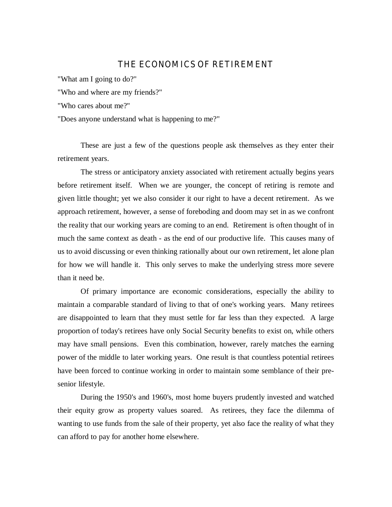## **THE ECONOMICS OF RETIREMENT**

"What am I going to do?"

"Who and where are my friends?"

"Who cares about me?"

"Does anyone understand what is happening to me?"

 These are just a few of the questions people ask themselves as they enter their retirement years.

 The stress or anticipatory anxiety associated with retirement actually begins years before retirement itself. When we are younger, the concept of retiring is remote and given little thought; yet we also consider it our right to have a decent retirement. As we approach retirement, however, a sense of foreboding and doom may set in as we confront the reality that our working years are coming to an end. Retirement is often thought of in much the same context as death - as the end of our productive life. This causes many of us to avoid discussing or even thinking rationally about our own retirement, let alone plan for how we will handle it. This only serves to make the underlying stress more severe than it need be.

 Of primary importance are economic considerations, especially the ability to maintain a comparable standard of living to that of one's working years. Many retirees are disappointed to learn that they must settle for far less than they expected. A large proportion of today's retirees have only Social Security benefits to exist on, while others may have small pensions. Even this combination, however, rarely matches the earning power of the middle to later working years. One result is that countless potential retirees have been forced to continue working in order to maintain some semblance of their presenior lifestyle.

 During the 1950's and 1960's, most home buyers prudently invested and watched their equity grow as property values soared. As retirees, they face the dilemma of wanting to use funds from the sale of their property, yet also face the reality of what they can afford to pay for another home elsewhere.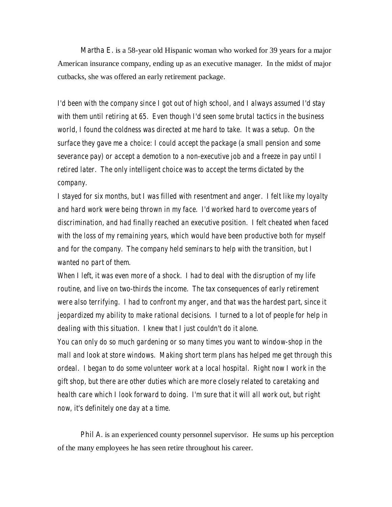*Martha E.* is a 58-year old Hispanic woman who worked for 39 years for a major American insurance company, ending up as an executive manager. In the midst of major cutbacks, she was offered an early retirement package.

*I'd been with the company since I got out of high school, and I always assumed I'd stay with them until retiring at 65. Even though I'd seen some brutal tactics in the business world, I found the coldness was directed at me hard to take. It was a setup. On the surface they gave me a choice: I could accept the package (a small pension and some severance pay) or accept a demotion to a non-executive job and a freeze in pay until I retired later. The only intelligent choice was to accept the terms dictated by the company.* 

*I stayed for six months, but I was filled with resentment and anger. I felt like my loyalty and hard work were being thrown in my face. I'd worked hard to overcome years of discrimination, and had finally reached an executive position. I felt cheated when faced with the loss of my remaining years, which would have been productive both for myself and for the company. The company held seminars to help with the transition, but I wanted no part of them.* 

*When I left, it was even more of a shock. I had to deal with the disruption of my life routine, and live on two-thirds the income. The tax consequences of early retirement were also terrifying. I had to confront my anger, and that was the hardest part, since it jeopardized my ability to make rational decisions. I turned to a lot of people for help in dealing with this situation. I knew that I just couldn't do it alone.* 

*You can only do so much gardening or so many times you want to window-shop in the mall and look at store windows. Making short term plans has helped me get through this ordeal. I began to do some volunteer work at a local hospital. Right now I work in the gift shop, but there are other duties which are more closely related to caretaking and health care which I look forward to doing. I'm sure that it will all work out, but right now, it's definitely one day at a time.* 

*Phil* A. is an experienced county personnel supervisor. He sums up his perception of the many employees he has seen retire throughout his career.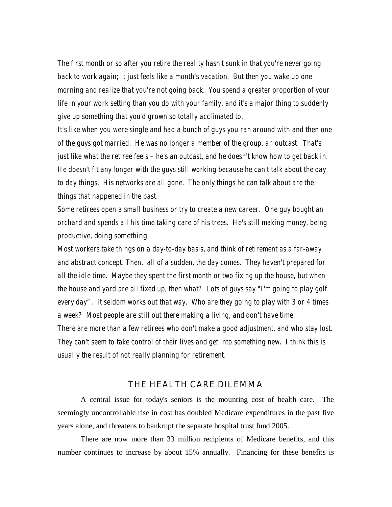*The first month or so after you retire the reality hasn't sunk in that you're never going back to work again; it just feels like a month's vacation. But then you wake up one morning and realize that you're not going back. You spend a greater proportion of your life in your work setting than you do with your family, and it's a major thing to suddenly give up something that you'd grown so totally acclimated to.* 

*It's like when you were single and had a bunch of guys you ran around with and then one of the guys got married. He was no longer a member of the group, an outcast. That's just like what the retiree feels – he's an outcast, and he doesn't know how to get back in. He doesn't fit any longer with the guys still working because he can't talk about the day to day things. His networks are all gone. The only things he can talk about are the things that happened in the past.* 

*Some retirees open a small business or try to create a new career. One guy bought an orchard and spends all his time taking care of his trees. He's still making money, being productive, doing something.* 

*Most workers take things on a day-to-day basis, and think of retirement as a far-away and abstract concept. Then, all of a sudden, the day comes. They haven't prepared for all the idle time. Maybe they spent the first month or two fixing up the house, but when the house and yard are all fixed up, then what? Lots of guys say "I'm going to play golf every day". It seldom works out that way. Who are they going to play with 3 or 4 times a week? Most people are still out there making a living, and don't have time. There are more than a few retirees who don't make a good adjustment, and who stay lost. They can't seem to take control of their lives and get into something new. I think this is usually the result of not really planning for retirement.* 

# **THE HEALTH CARE DILEMMA**

 A central issue for today's seniors is the mounting cost of health care. The seemingly uncontrollable rise in cost has doubled Medicare expenditures in the past five years alone, and threatens to bankrupt the separate hospital trust fund 2005.

 There are now more than 33 million recipients of Medicare benefits, and this number continues to increase by about 15% annually. Financing for these benefits is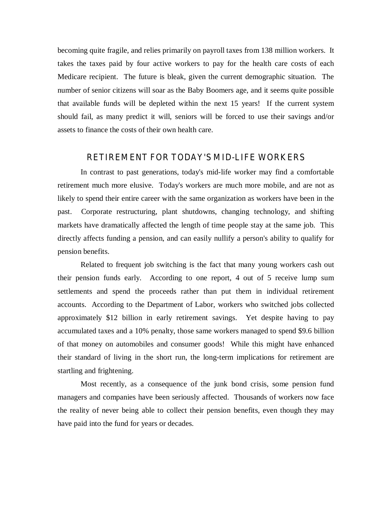becoming quite fragile, and relies primarily on payroll taxes from 138 million workers. It takes the taxes paid by four active workers to pay for the health care costs of each Medicare recipient. The future is bleak, given the current demographic situation. The number of senior citizens will soar as the Baby Boomers age, and it seems quite possible that available funds will be depleted within the next 15 years! If the current system should fail, as many predict it will, seniors will be forced to use their savings and/or assets to finance the costs of their own health care.

#### **RETIREMENT FOR TODAY'S MID-LIFE WORKERS**

 In contrast to past generations, today's mid-life worker may find a comfortable retirement much more elusive. Today's workers are much more mobile, and are not as likely to spend their entire career with the same organization as workers have been in the past. Corporate restructuring, plant shutdowns, changing technology, and shifting markets have dramatically affected the length of time people stay at the same job. This directly affects funding a pension, and can easily nullify a person's ability to qualify for pension benefits.

 Related to frequent job switching is the fact that many young workers cash out their pension funds early. According to one report, 4 out of 5 receive lump sum settlements and spend the proceeds rather than put them in individual retirement accounts. According to the Department of Labor, workers who switched jobs collected approximately \$12 billion in early retirement savings. Yet despite having to pay accumulated taxes and a 10% penalty, those same workers managed to spend \$9.6 billion of that money on automobiles and consumer goods! While this might have enhanced their standard of living in the short run, the long-term implications for retirement are startling and frightening.

 Most recently, as a consequence of the junk bond crisis, some pension fund managers and companies have been seriously affected. Thousands of workers now face the reality of never being able to collect their pension benefits, even though they may have paid into the fund for years or decades.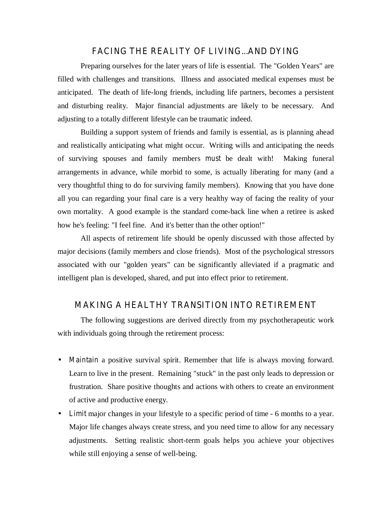## **FACING THE REALITY OF LIVING...AND DYING**

 Preparing ourselves for the later years of life is essential. The "Golden Years" are filled with challenges and transitions. Illness and associated medical expenses must be anticipated. The death of life-long friends, including life partners, becomes a persistent and disturbing reality. Major financial adjustments are likely to be necessary. And adjusting to a totally different lifestyle can be traumatic indeed.

 Building a support system of friends and family is essential, as is planning ahead and realistically anticipating what might occur. Writing wills and anticipating the needs of surviving spouses and family members *must* be dealt with! Making funeral arrangements in advance, while morbid to some, is actually liberating for many (and a very thoughtful thing to do for surviving family members). Knowing that you have done all you can regarding your final care is a very healthy way of facing the reality of your own mortality. A good example is the standard come-back line when a retiree is asked how he's feeling: "I feel fine. And it's better than the other option!"

 All aspects of retirement life should be openly discussed with those affected by major decisions (family members and close friends). Most of the psychological stressors associated with our "golden years" can be significantly alleviated if a pragmatic and intelligent plan is developed, shared, and put into effect prior to retirement.

## **MAKING A HEALTHY TRANSITION INTO RETIREMENT**

 The following suggestions are derived directly from my psychotherapeutic work with individuals going through the retirement process:

- *Maintain* a positive survival spirit. Remember that life is always moving forward. Learn to live in the present. Remaining "stuck" in the past only leads to depression or frustration. Share positive thoughts and actions with others to create an environment of active and productive energy.
- *Limit* major changes in your lifestyle to a specific period of time 6 months to a year. Major life changes always create stress, and you need time to allow for any necessary adjustments. Setting realistic short-term goals helps you achieve your objectives while still enjoying a sense of well-being.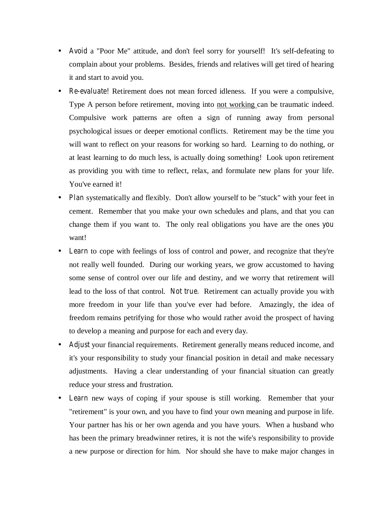- *Avoid* a "Poor Me" attitude, and don't feel sorry for yourself! It's self-defeating to complain about your problems. Besides, friends and relatives will get tired of hearing it and start to avoid you.
- *Re-evaluate!* Retirement does not mean forced idleness. If you were a compulsive, Type A person before retirement, moving into not working can be traumatic indeed. Compulsive work patterns are often a sign of running away from personal psychological issues or deeper emotional conflicts. Retirement may be the time you will want to reflect on your reasons for working so hard. Learning to do nothing, or at least learning to do much less, is actually doing something! Look upon retirement as providing you with time to reflect, relax, and formulate new plans for your life. You've earned it!
- *Plan* systematically and flexibly. Don't allow yourself to be "stuck" with your feet in cement. Remember that you make your own schedules and plans, and that you can change them if you want to. The only real obligations you have are the ones *you* want!
- *Learn* to cope with feelings of loss of control and power, and recognize that they're not really well founded. During our working years, we grow accustomed to having some sense of control over our life and destiny, and we worry that retirement will lead to the loss of that control. *Not true.* Retirement can actually provide you with more freedom in your life than you've ever had before. Amazingly, the idea of freedom remains petrifying for those who would rather avoid the prospect of having to develop a meaning and purpose for each and every day.
- *Adjust* your financial requirements. Retirement generally means reduced income, and it's your responsibility to study your financial position in detail and make necessary adjustments. Having a clear understanding of your financial situation can greatly reduce your stress and frustration.
- *Learn* new ways of coping if your spouse is still working. Remember that your "retirement" is your own, and you have to find your own meaning and purpose in life. Your partner has his or her own agenda and you have yours. When a husband who has been the primary breadwinner retires, it is not the wife's responsibility to provide a new purpose or direction for him. Nor should she have to make major changes in